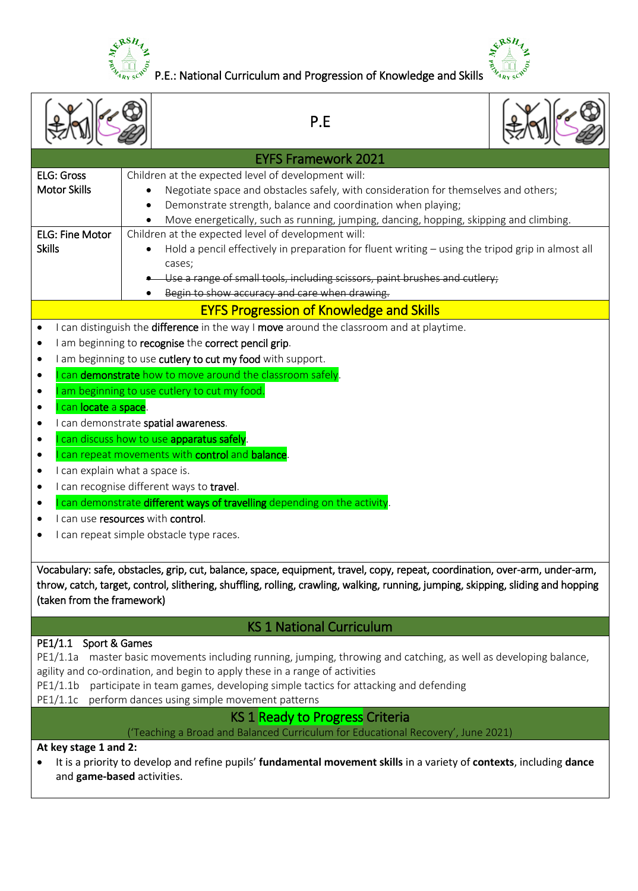

 $\frac{e^{x}e^{x}}{e^{x}e^{x}}$  P.E.: National Curriculum and Progression of Knowledge and Skills  $\frac{e^{x}}{e^{x}e^{x}}$   $\frac{e^{x}}{e^{x}e^{x}}$   $\frac{e^{x}}{e^{x}e^{x}}$ 



|                                                                                                                                                                                                                                                                                                                                                                                                                                                                                                                                                                                                                                                                                                                                                                                                                                                                                                                                                                                                                                                                                                |  | P.E                                                                                                                                                                                                                                                                                                  |  |  |
|------------------------------------------------------------------------------------------------------------------------------------------------------------------------------------------------------------------------------------------------------------------------------------------------------------------------------------------------------------------------------------------------------------------------------------------------------------------------------------------------------------------------------------------------------------------------------------------------------------------------------------------------------------------------------------------------------------------------------------------------------------------------------------------------------------------------------------------------------------------------------------------------------------------------------------------------------------------------------------------------------------------------------------------------------------------------------------------------|--|------------------------------------------------------------------------------------------------------------------------------------------------------------------------------------------------------------------------------------------------------------------------------------------------------|--|--|
|                                                                                                                                                                                                                                                                                                                                                                                                                                                                                                                                                                                                                                                                                                                                                                                                                                                                                                                                                                                                                                                                                                |  | <b>EYFS Framework 2021</b>                                                                                                                                                                                                                                                                           |  |  |
| <b>ELG: Gross</b><br><b>Motor Skills</b>                                                                                                                                                                                                                                                                                                                                                                                                                                                                                                                                                                                                                                                                                                                                                                                                                                                                                                                                                                                                                                                       |  | Children at the expected level of development will:<br>Negotiate space and obstacles safely, with consideration for themselves and others;<br>Demonstrate strength, balance and coordination when playing;<br>Move energetically, such as running, jumping, dancing, hopping, skipping and climbing. |  |  |
| <b>ELG: Fine Motor</b><br><b>Skills</b>                                                                                                                                                                                                                                                                                                                                                                                                                                                                                                                                                                                                                                                                                                                                                                                                                                                                                                                                                                                                                                                        |  | Children at the expected level of development will:<br>Hold a pencil effectively in preparation for fluent writing - using the tripod grip in almost all<br>cases;<br>Use a range of small tools, including scissors, paint brushes and cutlery;<br>Begin to show accuracy and care when drawing.    |  |  |
|                                                                                                                                                                                                                                                                                                                                                                                                                                                                                                                                                                                                                                                                                                                                                                                                                                                                                                                                                                                                                                                                                                |  | <b>EYFS Progression of Knowledge and Skills</b>                                                                                                                                                                                                                                                      |  |  |
| I can distinguish the difference in the way I move around the classroom and at playtime.<br>٠<br>I am beginning to recognise the correct pencil grip.<br>٠<br>I am beginning to use cutlery to cut my food with support.<br>٠<br>can demonstrate how to move around the classroom safely.<br>am beginning to use cutlery to cut my food.<br>can locate a space.<br>$\bullet$<br>I can demonstrate spatial awareness.<br>can discuss how to use apparatus safely.<br>can repeat movements with control and balance.<br>$\bullet$<br>I can explain what a space is.<br>$\bullet$<br>I can recognise different ways to travel.<br>٠<br>can demonstrate different ways of travelling depending on the activity.<br>I can use resources with control.<br>I can repeat simple obstacle type races.<br>Vocabulary: safe, obstacles, grip, cut, balance, space, equipment, travel, copy, repeat, coordination, over-arm, under-arm,<br>throw, catch, target, control, slithering, shuffling, rolling, crawling, walking, running, jumping, skipping, sliding and hopping<br>(taken from the framework) |  |                                                                                                                                                                                                                                                                                                      |  |  |
|                                                                                                                                                                                                                                                                                                                                                                                                                                                                                                                                                                                                                                                                                                                                                                                                                                                                                                                                                                                                                                                                                                |  | <b>KS 1 National Curriculum</b>                                                                                                                                                                                                                                                                      |  |  |
| Sport & Games<br>PE1/1.1<br>master basic movements including running, jumping, throwing and catching, as well as developing balance,<br>PE1/1.1a<br>agility and co-ordination, and begin to apply these in a range of activities<br>PE1/1.1b<br>participate in team games, developing simple tactics for attacking and defending<br>PE1/1.1c<br>perform dances using simple movement patterns                                                                                                                                                                                                                                                                                                                                                                                                                                                                                                                                                                                                                                                                                                  |  |                                                                                                                                                                                                                                                                                                      |  |  |
|                                                                                                                                                                                                                                                                                                                                                                                                                                                                                                                                                                                                                                                                                                                                                                                                                                                                                                                                                                                                                                                                                                |  | <b>KS 1 Ready to Progress Criteria</b>                                                                                                                                                                                                                                                               |  |  |
| ('Teaching a Broad and Balanced Curriculum for Educational Recovery', June 2021)<br>At key stage 1 and 2:<br>It is a priority to develop and refine pupils' fundamental movement skills in a variety of contexts, including dance<br>and game-based activities.                                                                                                                                                                                                                                                                                                                                                                                                                                                                                                                                                                                                                                                                                                                                                                                                                                |  |                                                                                                                                                                                                                                                                                                      |  |  |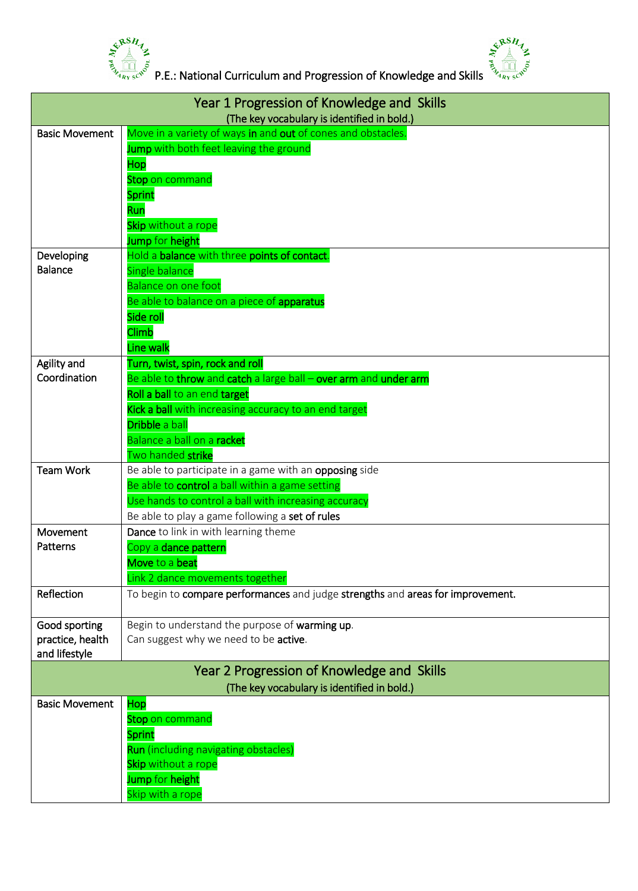



 $\frac{e^{x}e^{x}}{e^{x}e^{x}}$  P.E.: National Curriculum and Progression of Knowledge and Skills  $\frac{e^{x}}{e^{x}e^{x}}$   $\frac{e^{x}}{e^{x}e^{x}}$   $\frac{e^{x}}{e^{x}e^{x}}$ 

| Year 1 Progression of Knowledge and Skills<br>(The key vocabulary is identified in bold.) |                                                                                                           |  |
|-------------------------------------------------------------------------------------------|-----------------------------------------------------------------------------------------------------------|--|
| <b>Basic Movement</b>                                                                     | Move in a variety of ways in and out of cones and obstacles.                                              |  |
|                                                                                           | Jump with both feet leaving the ground                                                                    |  |
|                                                                                           | Hop                                                                                                       |  |
|                                                                                           | Stop on command                                                                                           |  |
|                                                                                           | <b>Sprint</b>                                                                                             |  |
|                                                                                           | Run                                                                                                       |  |
|                                                                                           | Skip without a rope                                                                                       |  |
|                                                                                           | Jump for height                                                                                           |  |
| Developing                                                                                | Hold a balance with three points of contact.                                                              |  |
| <b>Balance</b>                                                                            | Single balance                                                                                            |  |
|                                                                                           | Balance on one foot                                                                                       |  |
|                                                                                           | Be able to balance on a piece of apparatus                                                                |  |
|                                                                                           | Side roll                                                                                                 |  |
|                                                                                           | Climb                                                                                                     |  |
|                                                                                           | Line walk                                                                                                 |  |
| Agility and                                                                               | Turn, twist, spin, rock and roll                                                                          |  |
| Coordination                                                                              | Be able to throw and catch a large ball - over arm and under arm                                          |  |
|                                                                                           | Roll a ball to an end target                                                                              |  |
|                                                                                           | Kick a ball with increasing accuracy to an end target                                                     |  |
|                                                                                           | Dribble a ball                                                                                            |  |
|                                                                                           | Balance a ball on a racket                                                                                |  |
|                                                                                           | Two handed strike                                                                                         |  |
| <b>Team Work</b>                                                                          | Be able to participate in a game with an opposing side<br>Be able to control a ball within a game setting |  |
|                                                                                           | Use hands to control a ball with increasing accuracy                                                      |  |
|                                                                                           | Be able to play a game following a set of rules                                                           |  |
| Movement                                                                                  | Dance to link in with learning theme                                                                      |  |
| Patterns                                                                                  | Copy a dance pattern                                                                                      |  |
|                                                                                           | Move to a beat                                                                                            |  |
|                                                                                           | Link 2 dance movements together                                                                           |  |
| Reflection                                                                                | To begin to compare performances and judge strengths and areas for improvement.                           |  |
|                                                                                           |                                                                                                           |  |
| Good sporting                                                                             | Begin to understand the purpose of warming up.                                                            |  |
| practice, health                                                                          | Can suggest why we need to be active.                                                                     |  |
| and lifestyle                                                                             |                                                                                                           |  |
|                                                                                           | Year 2 Progression of Knowledge and Skills                                                                |  |
|                                                                                           | (The key vocabulary is identified in bold.)                                                               |  |
| <b>Basic Movement</b>                                                                     | Hop                                                                                                       |  |
|                                                                                           | Stop on command                                                                                           |  |
|                                                                                           | <b>Sprint</b><br><b>Run</b> (including navigating obstacles)                                              |  |
|                                                                                           | Skip without a rope                                                                                       |  |
|                                                                                           | Jump for height                                                                                           |  |
|                                                                                           | Skip with a rope                                                                                          |  |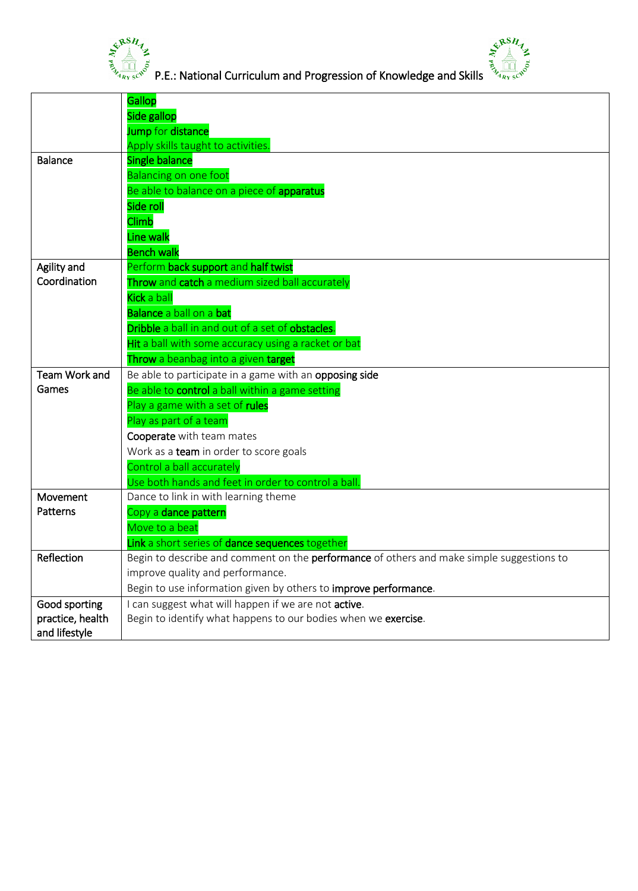



 $\frac{e^{\sqrt[3]{16}H}}{e^{\sqrt[3]{16} \sqrt[3]{5}}}$  P.E.: National Curriculum and Progression of Knowledge and Skills  $\frac{e^{\sqrt[3]{16}H}}{e^{\sqrt[3]{16} \sqrt[3]{5}}}$ 

|                  | <b>Gallop</b>                                                                             |
|------------------|-------------------------------------------------------------------------------------------|
|                  | Side gallop                                                                               |
|                  | Jump for distance                                                                         |
|                  | Apply skills taught to activities.                                                        |
| <b>Balance</b>   | <b>Single balance</b>                                                                     |
|                  | <b>Balancing on one foot</b>                                                              |
|                  | Be able to balance on a piece of apparatus                                                |
|                  | Side roll                                                                                 |
|                  | Climb                                                                                     |
|                  | Line walk                                                                                 |
|                  | <b>Bench walk</b>                                                                         |
| Agility and      | Perform back support and half twist                                                       |
| Coordination     | Throw and catch a medium sized ball accurately                                            |
|                  | <b>Kick</b> a ball                                                                        |
|                  | <b>Balance</b> a ball on a bat                                                            |
|                  | Dribble a ball in and out of a set of obstacles.                                          |
|                  | Hit a ball with some accuracy using a racket or bat                                       |
|                  | Throw a beanbag into a given target                                                       |
| Team Work and    | Be able to participate in a game with an opposing side                                    |
| Games            | Be able to control a ball within a game setting                                           |
|                  | Play a game with a set of rules                                                           |
|                  | Play as part of a team                                                                    |
|                  | Cooperate with team mates                                                                 |
|                  | Work as a team in order to score goals                                                    |
|                  | Control a ball accurately                                                                 |
|                  | Use both hands and feet in order to control a ball.                                       |
| Movement         | Dance to link in with learning theme                                                      |
| Patterns         | Copy a dance pattern                                                                      |
|                  | Move to a beat                                                                            |
|                  | Link a short series of dance sequences together                                           |
| Reflection       | Begin to describe and comment on the performance of others and make simple suggestions to |
|                  | improve quality and performance.                                                          |
|                  | Begin to use information given by others to improve performance.                          |
| Good sporting    | I can suggest what will happen if we are not active.                                      |
| practice, health | Begin to identify what happens to our bodies when we exercise.                            |
| and lifestyle    |                                                                                           |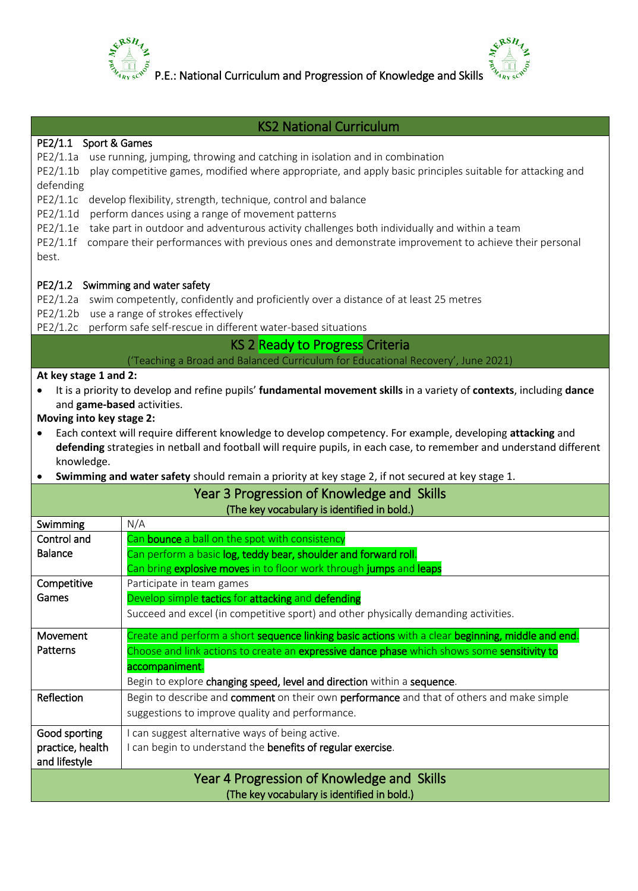

practice, health and lifestyle

P.E.: National Curriculum and Progression of Knowledge and Skills



## KS2 National Curriculum PE2/1.1 Sport & Games PE2/1.1a use running, jumping, throwing and catching in isolation and in combination PE2/1.1b play competitive games, modified where appropriate, and apply basic principles suitable for attacking and defending PE2/1.1c develop flexibility, strength, technique, control and balance PE2/1.1d perform dances using a range of movement patterns PE2/1.1e take part in outdoor and adventurous activity challenges both individually and within a team PE2/1.1f compare their performances with previous ones and demonstrate improvement to achieve their personal best. PE2/1.2 Swimming and water safety PE2/1.2a swim competently, confidently and proficiently over a distance of at least 25 metres PE2/1.2b use a range of strokes effectively PE2/1.2c perform safe self-rescue in different water-based situations KS 2 Ready to Progress Criteria ('Teaching a Broad and Balanced Curriculum for Educational Recovery', June 2021) **At key stage 1 and 2:**  It is a priority to develop and refine pupils' **fundamental movement skills** in a variety of **contexts**, including **dance** and **game-based** activities. **Moving into key stage 2:** Each context will require different knowledge to develop competency. For example, developing **attacking** and **defending** strategies in netball and football will require pupils, in each case, to remember and understand different knowledge. **Swimming and water safety** should remain a priority at key stage 2, if not secured at key stage 1. Year 3 Progression of Knowledge and Skills (The key vocabulary is identified in bold.) Swimming | N/A Control and Balance Can **bounce** a ball on the spot with consistency Can perform a basic log, teddy bear, shoulder and forward roll. Can bring explosive moves in to floor work through jumps and leaps **Competitive** Games Participate in team games Develop simple tactics for attacking and defending Succeed and excel (in competitive sport) and other physically demanding activities. Movement Patterns Create and perform a short **sequence linking basic actions** with a clear **beginning, middle and end.** Choose and link actions to create an expressive dance phase which shows some sensitivity to accompaniment. Begin to explore changing speed, level and direction within a sequence. Reflection Begin to describe and comment on their own performance and that of others and make simple suggestions to improve quality and performance. Good sporting I can suggest alternative ways of being active.

I can begin to understand the benefits of regular exercise.

Year 4 Progression of Knowledge and Skills (The key vocabulary is identified in bold.)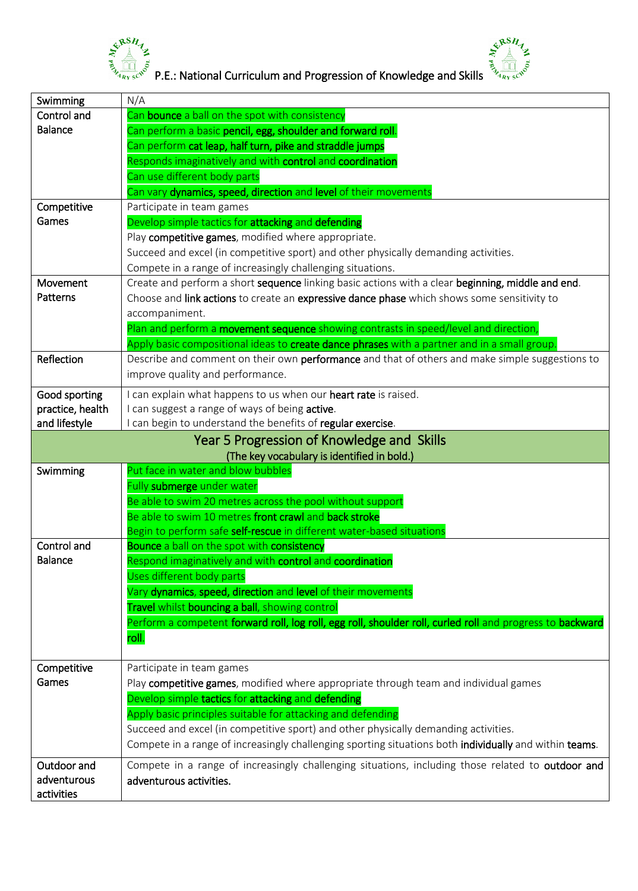



 $\frac{e^{x}e^{x}}{x}$ <br>  $\frac{e^{x}}{x}$  P.E.: National Curriculum and Progression of Knowledge and Skills  $\frac{e^{x}}{x}$   $\frac{e^{x}}{x}$   $\frac{e^{x}}{x}$ 

| Swimming         | N/A                                                                                                       |
|------------------|-----------------------------------------------------------------------------------------------------------|
| Control and      | Can <b>bounce</b> a ball on the spot with consistency                                                     |
| <b>Balance</b>   | Can perform a basic pencil, egg, shoulder and forward roll.                                               |
|                  | Can perform cat leap, half turn, pike and straddle jumps                                                  |
|                  | Responds imaginatively and with control and coordination                                                  |
|                  | Can use different body parts                                                                              |
|                  | Can vary dynamics, speed, direction and level of their movements                                          |
| Competitive      | Participate in team games                                                                                 |
| Games            | Develop simple tactics for attacking and defending                                                        |
|                  | Play competitive games, modified where appropriate.                                                       |
|                  | Succeed and excel (in competitive sport) and other physically demanding activities.                       |
|                  | Compete in a range of increasingly challenging situations.                                                |
| Movement         | Create and perform a short sequence linking basic actions with a clear beginning, middle and end.         |
| Patterns         | Choose and link actions to create an expressive dance phase which shows some sensitivity to               |
|                  | accompaniment.                                                                                            |
|                  | Plan and perform a <b>movement sequence</b> showing contrasts in speed/level and direction,               |
|                  | Apply basic compositional ideas to create dance phrases with a partner and in a small group.              |
| Reflection       | Describe and comment on their own performance and that of others and make simple suggestions to           |
|                  | improve quality and performance.                                                                          |
|                  |                                                                                                           |
| Good sporting    | I can explain what happens to us when our heart rate is raised.                                           |
| practice, health | I can suggest a range of ways of being active.                                                            |
| and lifestyle    | I can begin to understand the benefits of regular exercise.                                               |
|                  | Year 5 Progression of Knowledge and Skills                                                                |
|                  | (The key vocabulary is identified in bold.)                                                               |
| Swimming         | Put face in water and blow bubbles                                                                        |
|                  | Fully submerge under water                                                                                |
|                  | Be able to swim 20 metres across the pool without support                                                 |
|                  | Be able to swim 10 metres front crawl and back stroke                                                     |
|                  | Begin to perform safe self-rescue in different water-based situations                                     |
| Control and      | Bounce a ball on the spot with consistency                                                                |
| <b>Balance</b>   | Respond imaginatively and with control and coordination                                                   |
|                  | Uses different body parts                                                                                 |
|                  | Vary dynamics, speed, direction and level of their movements                                              |
|                  | Travel whilst bouncing a ball, showing control                                                            |
|                  | Perform a competent forward roll, log roll, egg roll, shoulder roll, curled roll and progress to backward |
|                  | roll.                                                                                                     |
|                  |                                                                                                           |
| Competitive      | Participate in team games                                                                                 |
| Games            | Play competitive games, modified where appropriate through team and individual games                      |
|                  | Develop simple tactics for attacking and defending                                                        |
|                  | Apply basic principles suitable for attacking and defending                                               |
|                  | Succeed and excel (in competitive sport) and other physically demanding activities.                       |
|                  | Compete in a range of increasingly challenging sporting situations both individually and within teams.    |
| Outdoor and      | Compete in a range of increasingly challenging situations, including those related to outdoor and         |
| adventurous      | adventurous activities.                                                                                   |
| activities       |                                                                                                           |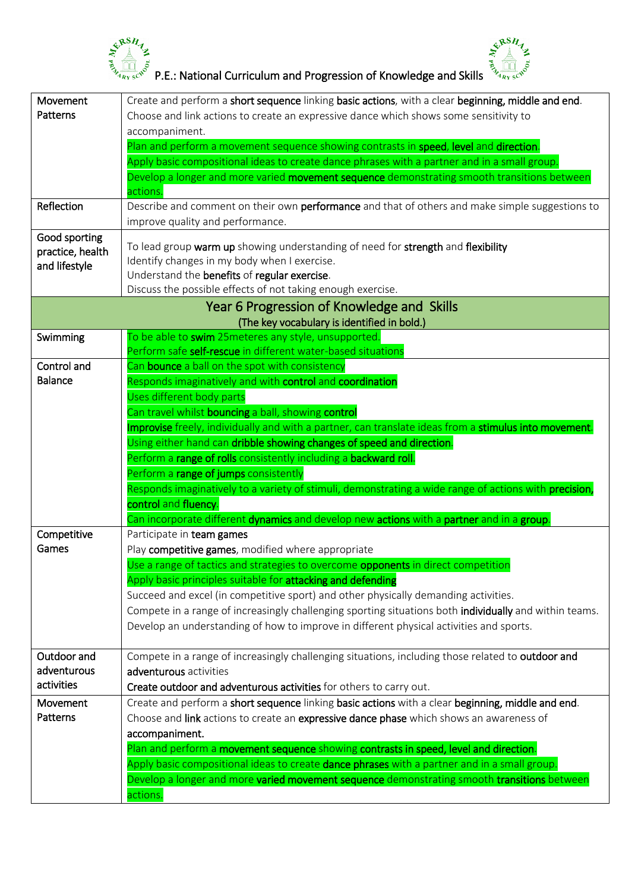



 $\frac{e^{x}e^{x}}{x}$   $\frac{e^{x}}{x}$   $\frac{e^{x}}{x}$   $\frac{e^{x}}{x}$   $\frac{e^{x}}{x}$   $\frac{e^{x}}{x}$   $\frac{e^{x}}{x}$   $\frac{e^{x}}{x}$   $\frac{e^{x}}{x}$   $\frac{e^{x}}{x}$   $\frac{e^{x}}{x}$   $\frac{e^{x}}{x}$   $\frac{e^{x}}{x}$   $\frac{e^{x}}{x}$   $\frac{e^{x}}{x}$   $\frac{e^{x}}{x}$   $\frac{e^{x}}{$ 

| Movement         | Create and perform a short sequence linking basic actions, with a clear beginning, middle and end.                     |
|------------------|------------------------------------------------------------------------------------------------------------------------|
| Patterns         | Choose and link actions to create an expressive dance which shows some sensitivity to                                  |
|                  | accompaniment.                                                                                                         |
|                  | Plan and perform a movement sequence showing contrasts in speed, level and direction.                                  |
|                  | Apply basic compositional ideas to create dance phrases with a partner and in a small group.                           |
|                  | Develop a longer and more varied movement sequence demonstrating smooth transitions between<br>actions.                |
| Reflection       | Describe and comment on their own performance and that of others and make simple suggestions to                        |
|                  | improve quality and performance.                                                                                       |
| Good sporting    | To lead group warm up showing understanding of need for strength and flexibility                                       |
| practice, health | Identify changes in my body when I exercise.                                                                           |
| and lifestyle    | Understand the benefits of regular exercise.                                                                           |
|                  | Discuss the possible effects of not taking enough exercise.                                                            |
|                  | Year 6 Progression of Knowledge and Skills                                                                             |
|                  | (The key vocabulary is identified in bold.)                                                                            |
| Swimming         | To be able to swim 25 meteres any style, unsupported.                                                                  |
|                  | Perform safe self-rescue in different water-based situations                                                           |
| Control and      | Can <b>bounce</b> a ball on the spot with consistency                                                                  |
| <b>Balance</b>   | Responds imaginatively and with control and coordination                                                               |
|                  | Uses different body parts                                                                                              |
|                  | Can travel whilst <b>bouncing</b> a ball, showing control                                                              |
|                  | Improvise freely, individually and with a partner, can translate ideas from a stimulus into movement.                  |
|                  | Using either hand can dribble showing changes of speed and direction.                                                  |
|                  | Perform a range of rolls consistently including a backward roll.                                                       |
|                  | Perform a range of jumps consistently                                                                                  |
|                  | Responds imaginatively to a variety of stimuli, demonstrating a wide range of actions with <b>precision,</b>           |
|                  | control and fluency.                                                                                                   |
|                  | Can incorporate different <b>dynamics</b> and develop new <b>actions</b> with a <b>partner</b> and in a <b>group</b> . |
| Competitive      | Participate in team games                                                                                              |
| Games            | Play competitive games, modified where appropriate                                                                     |
|                  | Use a range of tactics and strategies to overcome <b>opponents</b> in direct competition                               |
|                  | Apply basic principles suitable for attacking and defending                                                            |
|                  | Succeed and excel (in competitive sport) and other physically demanding activities.                                    |
|                  | Compete in a range of increasingly challenging sporting situations both individually and within teams.                 |
|                  | Develop an understanding of how to improve in different physical activities and sports.                                |
| Outdoor and      | Compete in a range of increasingly challenging situations, including those related to outdoor and                      |
| adventurous      | adventurous activities                                                                                                 |
| activities       | Create outdoor and adventurous activities for others to carry out.                                                     |
| Movement         | Create and perform a short sequence linking basic actions with a clear beginning, middle and end.                      |
| Patterns         | Choose and link actions to create an expressive dance phase which shows an awareness of                                |
|                  | accompaniment.                                                                                                         |
|                  | Plan and perform a movement sequence showing contrasts in speed, level and direction.                                  |
|                  | Apply basic compositional ideas to create dance phrases with a partner and in a small group.                           |
|                  | Develop a longer and more varied movement sequence demonstrating smooth transitions between                            |
|                  | actions.                                                                                                               |